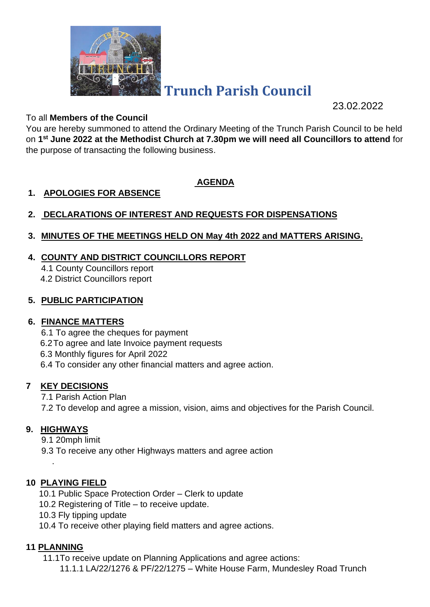

# **Trunch Parish Council**

23.02.2022

#### To all **Members of the Council**

You are hereby summoned to attend the Ordinary Meeting of the Trunch Parish Council to be held on **1 st June 2022 at the Methodist Church at 7.30pm we will need all Councillors to attend** for the purpose of transacting the following business.

## **AGENDA**

## **1. APOLOGIES FOR ABSENCE**

# **2. DECLARATIONS OF INTEREST AND REQUESTS FOR DISPENSATIONS**

## **3. MINUTES OF THE MEETINGS HELD ON May 4th 2022 and MATTERS ARISING.**

## **4. COUNTY AND DISTRICT COUNCILLORS REPORT**

4.1 County Councillors report 4.2 District Councillors report

## **5. PUBLIC PARTICIPATION**

#### **6. FINANCE MATTERS**

6.1 To agree the cheques for payment

6.2To agree and late Invoice payment requests

6.3 Monthly figures for April 2022

6.4 To consider any other financial matters and agree action.

## **7 KEY DECISIONS**

7.1 Parish Action Plan

7.2 To develop and agree a mission, vision, aims and objectives for the Parish Council.

#### **9. HIGHWAYS**

.

9.1 20mph limit

9.3 To receive any other Highways matters and agree action

## **10 PLAYING FIELD**

- 10.1 Public Space Protection Order Clerk to update
- 10.2 Registering of Title to receive update.
- 10.3 Fly tipping update
- 10.4 To receive other playing field matters and agree actions.

## **11 PLANNING**

11.1To receive update on Planning Applications and agree actions:

11.1.1 LA/22/1276 & PF/22/1275 – White House Farm, Mundesley Road Trunch